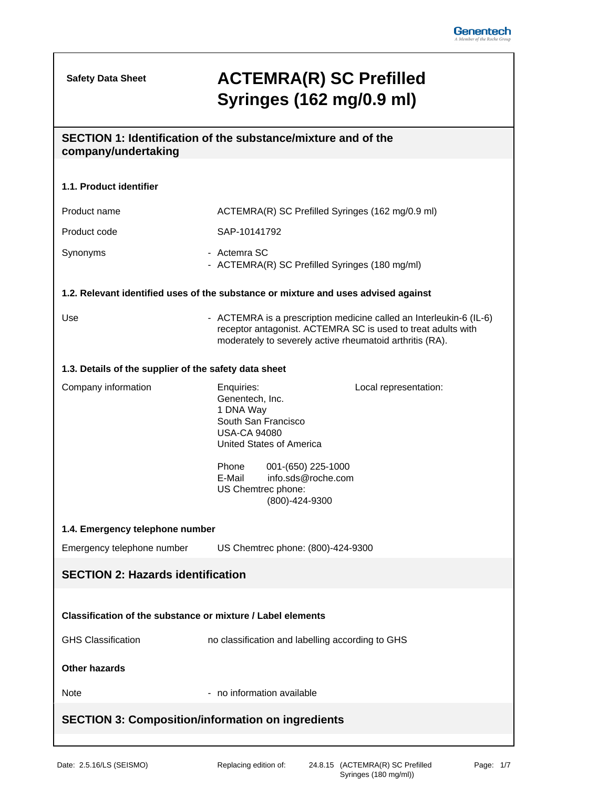**Safety Data Sheet**

## **ACTEMRA(R) SC Prefilled Syringes (162 mg/0.9 ml)**

# **SECTION 1: Identification of the substance/mixture and of the company/undertaking 1.1. Product identifier** Product name ACTEMRA(R) SC Prefilled Syringes (162 mg/0.9 ml) Product code SAP-10141792

Synonyms - Actemra SC - ACTEMRA(R) SC Prefilled Syringes (180 mg/ml)

#### **1.2. Relevant identified uses of the substance or mixture and uses advised against**

Use **Interleating ACTEMRA** is a prescription medicine called an Interleukin-6 (IL-6) receptor antagonist. ACTEMRA SC is used to treat adults with moderately to severely active rheumatoid arthritis (RA).

#### **1.3. Details of the supplier of the safety data sheet**

| Company information | Enquiries:               |                    | Local representation: |
|---------------------|--------------------------|--------------------|-----------------------|
|                     | Genentech, Inc.          |                    |                       |
|                     | 1 DNA Way                |                    |                       |
|                     | South San Francisco      |                    |                       |
|                     | <b>USA-CA 94080</b>      |                    |                       |
|                     | United States of America |                    |                       |
|                     | Phone                    | 001-(650) 225-1000 |                       |

E-Mail info.sds@roche.com US Chemtrec phone: (800)-424-9300

#### **1.4. Emergency telephone number**

Emergency telephone number US Chemtrec phone: (800)-424-9300

### **SECTION 2: Hazards identification**

#### **Classification of the substance or mixture / Label elements**

GHS Classification **no classification** and labelling according to GHS

#### **Other hazards**

Note  $\sim$  - no information available

#### **SECTION 3: Composition/information on ingredients**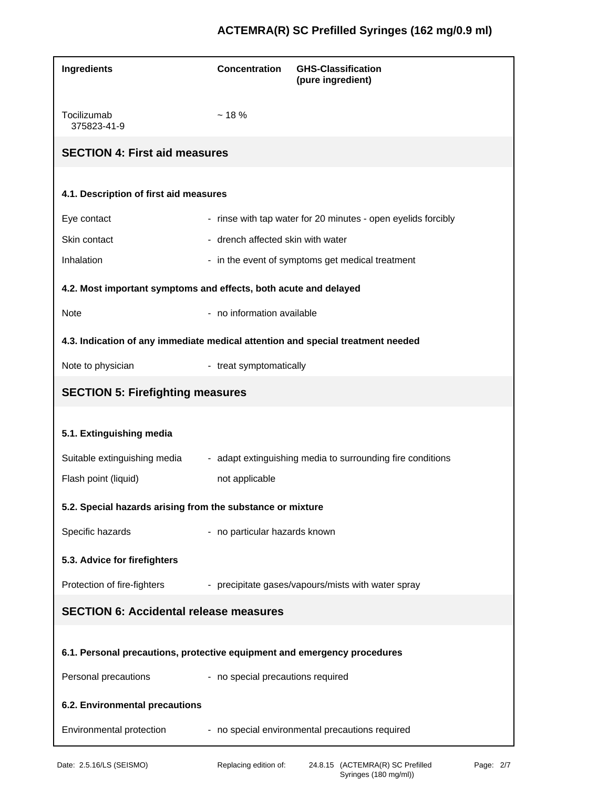## **ACTEMRA(R) SC Prefilled Syringes (162 mg/0.9 ml)**

| Ingredients                                                                     | <b>Concentration</b>              | <b>GHS-Classification</b><br>(pure ingredient)                |
|---------------------------------------------------------------------------------|-----------------------------------|---------------------------------------------------------------|
| Tocilizumab<br>375823-41-9                                                      | ~18%                              |                                                               |
| <b>SECTION 4: First aid measures</b>                                            |                                   |                                                               |
|                                                                                 |                                   |                                                               |
| 4.1. Description of first aid measures                                          |                                   |                                                               |
| Eye contact                                                                     |                                   | - rinse with tap water for 20 minutes - open eyelids forcibly |
| Skin contact                                                                    | - drench affected skin with water |                                                               |
| Inhalation                                                                      |                                   | - in the event of symptoms get medical treatment              |
| 4.2. Most important symptoms and effects, both acute and delayed                |                                   |                                                               |
| Note                                                                            | - no information available        |                                                               |
| 4.3. Indication of any immediate medical attention and special treatment needed |                                   |                                                               |
| Note to physician                                                               | - treat symptomatically           |                                                               |
| <b>SECTION 5: Firefighting measures</b>                                         |                                   |                                                               |
|                                                                                 |                                   |                                                               |
| 5.1. Extinguishing media                                                        |                                   |                                                               |
| Suitable extinguishing media                                                    |                                   | - adapt extinguishing media to surrounding fire conditions    |
| Flash point (liquid)                                                            | not applicable                    |                                                               |
| 5.2. Special hazards arising from the substance or mixture                      |                                   |                                                               |
| Specific hazards                                                                | - no particular hazards known     |                                                               |
| 5.3. Advice for firefighters                                                    |                                   |                                                               |
| Protection of fire-fighters                                                     |                                   | - precipitate gases/vapours/mists with water spray            |
| <b>SECTION 6: Accidental release measures</b>                                   |                                   |                                                               |
|                                                                                 |                                   |                                                               |
| 6.1. Personal precautions, protective equipment and emergency procedures        |                                   |                                                               |
| Personal precautions                                                            | - no special precautions required |                                                               |
| 6.2. Environmental precautions                                                  |                                   |                                                               |
| Environmental protection                                                        |                                   | - no special environmental precautions required               |
|                                                                                 |                                   |                                                               |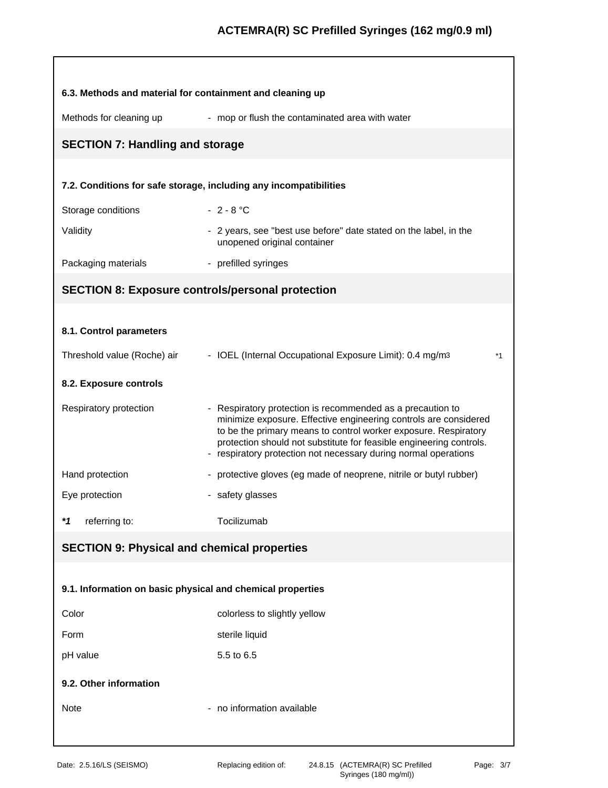| 6.3. Methods and material for containment and cleaning up         |                                                                                                                                                                                                                                                                                                                                             |
|-------------------------------------------------------------------|---------------------------------------------------------------------------------------------------------------------------------------------------------------------------------------------------------------------------------------------------------------------------------------------------------------------------------------------|
| Methods for cleaning up                                           | - mop or flush the contaminated area with water                                                                                                                                                                                                                                                                                             |
| <b>SECTION 7: Handling and storage</b>                            |                                                                                                                                                                                                                                                                                                                                             |
|                                                                   |                                                                                                                                                                                                                                                                                                                                             |
| 7.2. Conditions for safe storage, including any incompatibilities |                                                                                                                                                                                                                                                                                                                                             |
| Storage conditions                                                | $-2 - 8 °C$                                                                                                                                                                                                                                                                                                                                 |
| Validity                                                          | - 2 years, see "best use before" date stated on the label, in the<br>unopened original container                                                                                                                                                                                                                                            |
| Packaging materials                                               | - prefilled syringes                                                                                                                                                                                                                                                                                                                        |
| <b>SECTION 8: Exposure controls/personal protection</b>           |                                                                                                                                                                                                                                                                                                                                             |
|                                                                   |                                                                                                                                                                                                                                                                                                                                             |
| 8.1. Control parameters                                           |                                                                                                                                                                                                                                                                                                                                             |
| Threshold value (Roche) air                                       | - IOEL (Internal Occupational Exposure Limit): 0.4 mg/m3<br>$*_{1}$                                                                                                                                                                                                                                                                         |
| 8.2. Exposure controls                                            |                                                                                                                                                                                                                                                                                                                                             |
| Respiratory protection                                            | - Respiratory protection is recommended as a precaution to<br>minimize exposure. Effective engineering controls are considered<br>to be the primary means to control worker exposure. Respiratory<br>protection should not substitute for feasible engineering controls.<br>- respiratory protection not necessary during normal operations |
| Hand protection                                                   | - protective gloves (eg made of neoprene, nitrile or butyl rubber)                                                                                                                                                                                                                                                                          |
| Eye protection                                                    | - safety glasses                                                                                                                                                                                                                                                                                                                            |
| $*1$<br>referring to:                                             | Tocilizumab                                                                                                                                                                                                                                                                                                                                 |
| <b>SECTION 9: Physical and chemical properties</b>                |                                                                                                                                                                                                                                                                                                                                             |
|                                                                   |                                                                                                                                                                                                                                                                                                                                             |
| 9.1. Information on basic physical and chemical properties        |                                                                                                                                                                                                                                                                                                                                             |
| Color                                                             | colorless to slightly yellow                                                                                                                                                                                                                                                                                                                |
| Form                                                              | sterile liquid                                                                                                                                                                                                                                                                                                                              |
| pH value                                                          | 5.5 to 6.5                                                                                                                                                                                                                                                                                                                                  |
| 9.2. Other information                                            |                                                                                                                                                                                                                                                                                                                                             |
| Note                                                              | - no information available                                                                                                                                                                                                                                                                                                                  |
|                                                                   |                                                                                                                                                                                                                                                                                                                                             |
|                                                                   |                                                                                                                                                                                                                                                                                                                                             |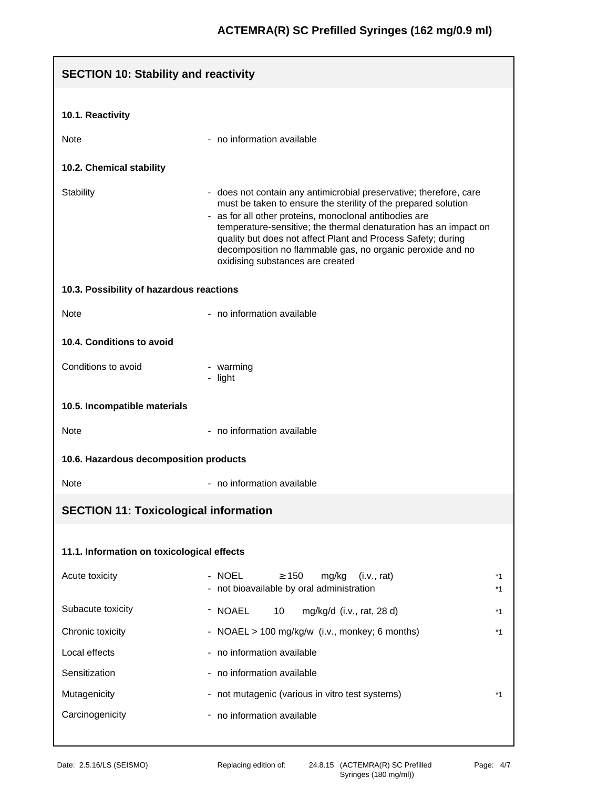| <b>SECTION 10: Stability and reactivity</b>  |                                                                                                                                                                                                                                                                                                                                                                                                                                      |          |
|----------------------------------------------|--------------------------------------------------------------------------------------------------------------------------------------------------------------------------------------------------------------------------------------------------------------------------------------------------------------------------------------------------------------------------------------------------------------------------------------|----------|
| 10.1. Reactivity                             |                                                                                                                                                                                                                                                                                                                                                                                                                                      |          |
|                                              |                                                                                                                                                                                                                                                                                                                                                                                                                                      |          |
| Note                                         | - no information available                                                                                                                                                                                                                                                                                                                                                                                                           |          |
| 10.2. Chemical stability                     |                                                                                                                                                                                                                                                                                                                                                                                                                                      |          |
| <b>Stability</b>                             | - does not contain any antimicrobial preservative; therefore, care<br>must be taken to ensure the sterility of the prepared solution<br>- as for all other proteins, monoclonal antibodies are<br>temperature-sensitive; the thermal denaturation has an impact on<br>quality but does not affect Plant and Process Safety; during<br>decomposition no flammable gas, no organic peroxide and no<br>oxidising substances are created |          |
| 10.3. Possibility of hazardous reactions     |                                                                                                                                                                                                                                                                                                                                                                                                                                      |          |
| <b>Note</b>                                  | - no information available                                                                                                                                                                                                                                                                                                                                                                                                           |          |
| 10.4. Conditions to avoid                    |                                                                                                                                                                                                                                                                                                                                                                                                                                      |          |
| Conditions to avoid                          | - warming<br>- light                                                                                                                                                                                                                                                                                                                                                                                                                 |          |
| 10.5. Incompatible materials                 |                                                                                                                                                                                                                                                                                                                                                                                                                                      |          |
| <b>Note</b>                                  | - no information available                                                                                                                                                                                                                                                                                                                                                                                                           |          |
| 10.6. Hazardous decomposition products       |                                                                                                                                                                                                                                                                                                                                                                                                                                      |          |
| Note                                         | - no information available                                                                                                                                                                                                                                                                                                                                                                                                           |          |
| <b>SECTION 11: Toxicological information</b> |                                                                                                                                                                                                                                                                                                                                                                                                                                      |          |
| 11.1. Information on toxicological effects   |                                                                                                                                                                                                                                                                                                                                                                                                                                      |          |
| Acute toxicity                               | - NOEL<br>$\geq 150$<br>mg/kg<br>(i.v., rat)<br>- not bioavailable by oral administration                                                                                                                                                                                                                                                                                                                                            | *1<br>*1 |
| Subacute toxicity                            | - NOAEL<br>10<br>mg/kg/d (i.v., rat, 28 d)                                                                                                                                                                                                                                                                                                                                                                                           | *1       |
| Chronic toxicity                             | - NOAEL > 100 mg/kg/w (i.v., monkey; 6 months)                                                                                                                                                                                                                                                                                                                                                                                       | *1       |
| Local effects                                | - no information available                                                                                                                                                                                                                                                                                                                                                                                                           |          |
| Sensitization                                | - no information available                                                                                                                                                                                                                                                                                                                                                                                                           |          |
| Mutagenicity                                 | - not mutagenic (various in vitro test systems)                                                                                                                                                                                                                                                                                                                                                                                      | *1       |
| Carcinogenicity                              | - no information available                                                                                                                                                                                                                                                                                                                                                                                                           |          |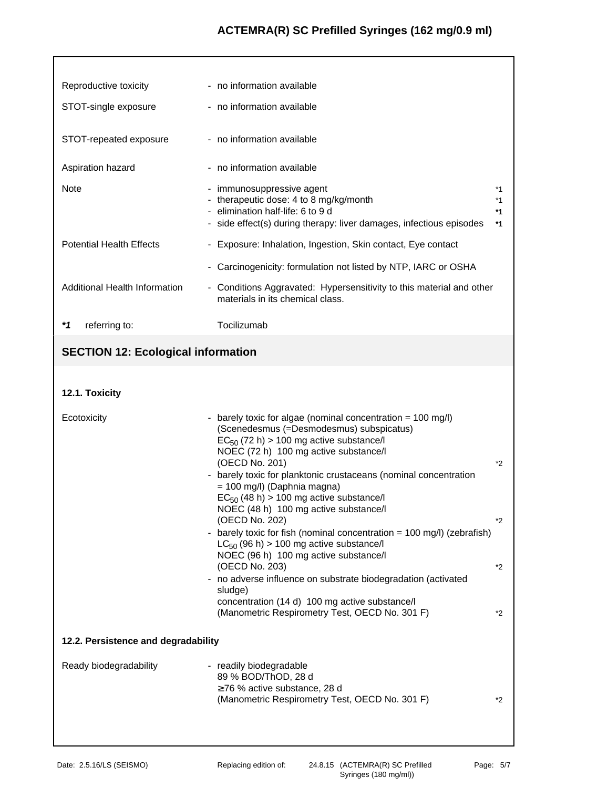## **ACTEMRA(R) SC Prefilled Syringes (162 mg/0.9 ml)**

| Reproductive toxicity                     | - no information available                                                                                                                                                                                                                                                                                                                                                                                                                                                                                                                                                                                                                                                                                                                                                                          |                             |
|-------------------------------------------|-----------------------------------------------------------------------------------------------------------------------------------------------------------------------------------------------------------------------------------------------------------------------------------------------------------------------------------------------------------------------------------------------------------------------------------------------------------------------------------------------------------------------------------------------------------------------------------------------------------------------------------------------------------------------------------------------------------------------------------------------------------------------------------------------------|-----------------------------|
| STOT-single exposure                      | - no information available                                                                                                                                                                                                                                                                                                                                                                                                                                                                                                                                                                                                                                                                                                                                                                          |                             |
| STOT-repeated exposure                    | - no information available                                                                                                                                                                                                                                                                                                                                                                                                                                                                                                                                                                                                                                                                                                                                                                          |                             |
| Aspiration hazard                         | - no information available                                                                                                                                                                                                                                                                                                                                                                                                                                                                                                                                                                                                                                                                                                                                                                          |                             |
| Note                                      | - immunosuppressive agent<br>- therapeutic dose: 4 to 8 mg/kg/month<br>- elimination half-life: 6 to 9 d<br>- side effect(s) during therapy: liver damages, infectious episodes                                                                                                                                                                                                                                                                                                                                                                                                                                                                                                                                                                                                                     | *1<br>*1<br>*1<br>$*1$      |
| <b>Potential Health Effects</b>           | - Exposure: Inhalation, Ingestion, Skin contact, Eye contact                                                                                                                                                                                                                                                                                                                                                                                                                                                                                                                                                                                                                                                                                                                                        |                             |
|                                           | - Carcinogenicity: formulation not listed by NTP, IARC or OSHA                                                                                                                                                                                                                                                                                                                                                                                                                                                                                                                                                                                                                                                                                                                                      |                             |
| Additional Health Information             | - Conditions Aggravated: Hypersensitivity to this material and other<br>materials in its chemical class.                                                                                                                                                                                                                                                                                                                                                                                                                                                                                                                                                                                                                                                                                            |                             |
| $*1$<br>referring to:                     | Tocilizumab                                                                                                                                                                                                                                                                                                                                                                                                                                                                                                                                                                                                                                                                                                                                                                                         |                             |
| <b>SECTION 12: Ecological information</b> |                                                                                                                                                                                                                                                                                                                                                                                                                                                                                                                                                                                                                                                                                                                                                                                                     |                             |
|                                           |                                                                                                                                                                                                                                                                                                                                                                                                                                                                                                                                                                                                                                                                                                                                                                                                     |                             |
| 12.1. Toxicity                            |                                                                                                                                                                                                                                                                                                                                                                                                                                                                                                                                                                                                                                                                                                                                                                                                     |                             |
| Ecotoxicity                               | - barely toxic for algae (nominal concentration = 100 mg/l)<br>(Scenedesmus (=Desmodesmus) subspicatus)<br>$EC_{50}$ (72 h) > 100 mg active substance/l<br>NOEC (72 h) 100 mg active substance/l<br>(OECD No. 201)<br>barely toxic for planktonic crustaceans (nominal concentration<br>= 100 mg/l) (Daphnia magna)<br>$EC_{50}$ (48 h) > 100 mg active substance/l<br>NOEC (48 h) 100 mg active substance/l<br>(OECD No. 202)<br>- barely toxic for fish (nominal concentration = 100 mg/l) (zebrafish)<br>$LC_{50}$ (96 h) > 100 mg active substance/l<br>NOEC (96 h) 100 mg active substance/l<br>(OECD No. 203)<br>- no adverse influence on substrate biodegradation (activated<br>sludge)<br>concentration (14 d) 100 mg active substance/l<br>(Manometric Respirometry Test, OECD No. 301 F) | $*2$<br>$*_{2}$<br>*2<br>*2 |
| 12.2. Persistence and degradability       |                                                                                                                                                                                                                                                                                                                                                                                                                                                                                                                                                                                                                                                                                                                                                                                                     |                             |
| Ready biodegradability                    | - readily biodegradable<br>89 % BOD/ThOD, 28 d<br>$\geq$ 76 % active substance, 28 d<br>(Manometric Respirometry Test, OECD No. 301 F)                                                                                                                                                                                                                                                                                                                                                                                                                                                                                                                                                                                                                                                              | *2                          |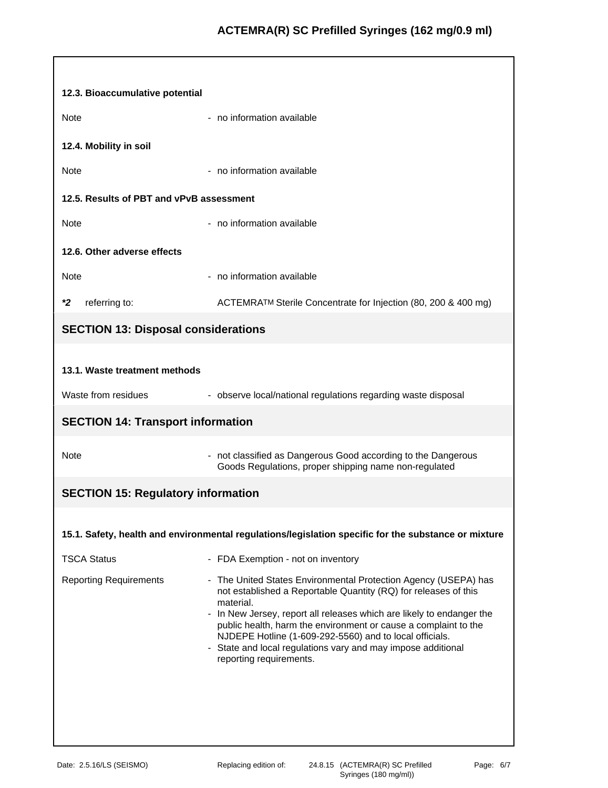| 12.3. Bioaccumulative potential            |                                                                                                                                                                                                                                                                                                                                                                                                                                                   |
|--------------------------------------------|---------------------------------------------------------------------------------------------------------------------------------------------------------------------------------------------------------------------------------------------------------------------------------------------------------------------------------------------------------------------------------------------------------------------------------------------------|
| <b>Note</b>                                | - no information available                                                                                                                                                                                                                                                                                                                                                                                                                        |
| 12.4. Mobility in soil                     |                                                                                                                                                                                                                                                                                                                                                                                                                                                   |
| <b>Note</b>                                | - no information available                                                                                                                                                                                                                                                                                                                                                                                                                        |
| 12.5. Results of PBT and vPvB assessment   |                                                                                                                                                                                                                                                                                                                                                                                                                                                   |
| <b>Note</b>                                | - no information available                                                                                                                                                                                                                                                                                                                                                                                                                        |
| 12.6. Other adverse effects                |                                                                                                                                                                                                                                                                                                                                                                                                                                                   |
| Note                                       | - no information available                                                                                                                                                                                                                                                                                                                                                                                                                        |
| *2<br>referring to:                        | ACTEMRATM Sterile Concentrate for Injection (80, 200 & 400 mg)                                                                                                                                                                                                                                                                                                                                                                                    |
| <b>SECTION 13: Disposal considerations</b> |                                                                                                                                                                                                                                                                                                                                                                                                                                                   |
|                                            |                                                                                                                                                                                                                                                                                                                                                                                                                                                   |
| 13.1. Waste treatment methods              |                                                                                                                                                                                                                                                                                                                                                                                                                                                   |
| Waste from residues                        | - observe local/national regulations regarding waste disposal                                                                                                                                                                                                                                                                                                                                                                                     |
| <b>SECTION 14: Transport information</b>   |                                                                                                                                                                                                                                                                                                                                                                                                                                                   |
| Note                                       | - not classified as Dangerous Good according to the Dangerous<br>Goods Regulations, proper shipping name non-regulated                                                                                                                                                                                                                                                                                                                            |
| <b>SECTION 15: Regulatory information</b>  |                                                                                                                                                                                                                                                                                                                                                                                                                                                   |
|                                            |                                                                                                                                                                                                                                                                                                                                                                                                                                                   |
|                                            | 15.1. Safety, health and environmental regulations/legislation specific for the substance or mixture                                                                                                                                                                                                                                                                                                                                              |
| <b>TSCA Status</b>                         | - FDA Exemption - not on inventory                                                                                                                                                                                                                                                                                                                                                                                                                |
| <b>Reporting Requirements</b>              | - The United States Environmental Protection Agency (USEPA) has<br>not established a Reportable Quantity (RQ) for releases of this<br>material.<br>- In New Jersey, report all releases which are likely to endanger the<br>public health, harm the environment or cause a complaint to the<br>NJDEPE Hotline (1-609-292-5560) and to local officials.<br>- State and local regulations vary and may impose additional<br>reporting requirements. |